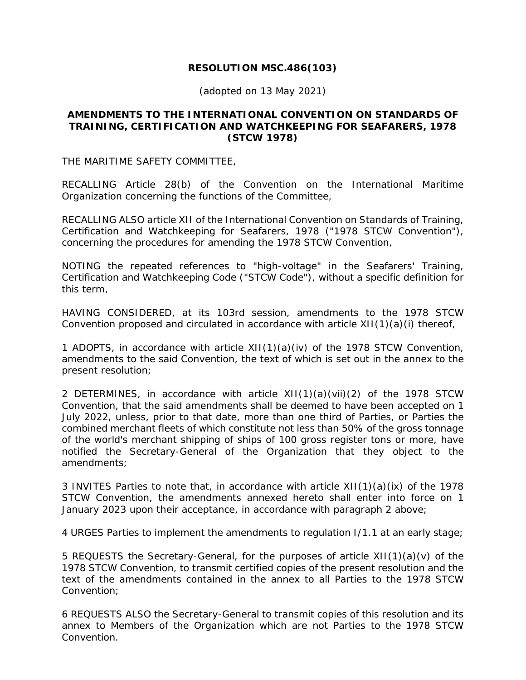# **RESOLUTION MSC.486(103)**

(adopted on 13 May 2021)

## **AMENDMENTS TO THE INTERNATIONAL CONVENTION ON STANDARDS OF TRAINING, CERTIFICATION AND WATCHKEEPING FOR SEAFARERS, 1978 (STCW 1978)**

THE MARITIME SAFETY COMMITTEE,

RECALLING Article 28(b) of the Convention on the International Maritime Organization concerning the functions of the Committee,

RECALLING ALSO article XII of the International Convention on Standards of Training, Certification and Watchkeeping for Seafarers, 1978 ("1978 STCW Convention"), concerning the procedures for amending the 1978 STCW Convention,

NOTING the repeated references to "high-voltage" in the Seafarers' Training, Certification and Watchkeeping Code ("STCW Code"), without a specific definition for this term,

HAVING CONSIDERED, at its 103rd session, amendments to the 1978 STCW Convention proposed and circulated in accordance with article  $XII(1)(a)(i)$  thereof,

1 ADOPTS, in accordance with article XII(1)(a)(iv) of the 1978 STCW Convention, amendments to the said Convention, the text of which is set out in the annex to the present resolution;

2 DETERMINES, in accordance with article XII(1)(a)(vii)(2) of the 1978 STCW Convention, that the said amendments shall be deemed to have been accepted on 1 July 2022, unless, prior to that date, more than one third of Parties, or Parties the combined merchant fleets of which constitute not less than 50% of the gross tonnage of the world's merchant shipping of ships of 100 gross register tons or more, have notified the Secretary-General of the Organization that they object to the amendments;

3 INVITES Parties to note that, in accordance with article XII(1)(a)(ix) of the 1978 STCW Convention, the amendments annexed hereto shall enter into force on 1 January 2023 upon their acceptance, in accordance with paragraph 2 above;

4 URGES Parties to implement the amendments to regulation I/1.1 at an early stage;

5 REQUESTS the Secretary-General, for the purposes of article XII(1)(a)(v) of the 1978 STCW Convention, to transmit certified copies of the present resolution and the text of the amendments contained in the annex to all Parties to the 1978 STCW Convention;

6 REQUESTS ALSO the Secretary-General to transmit copies of this resolution and its annex to Members of the Organization which are not Parties to the 1978 STCW Convention.